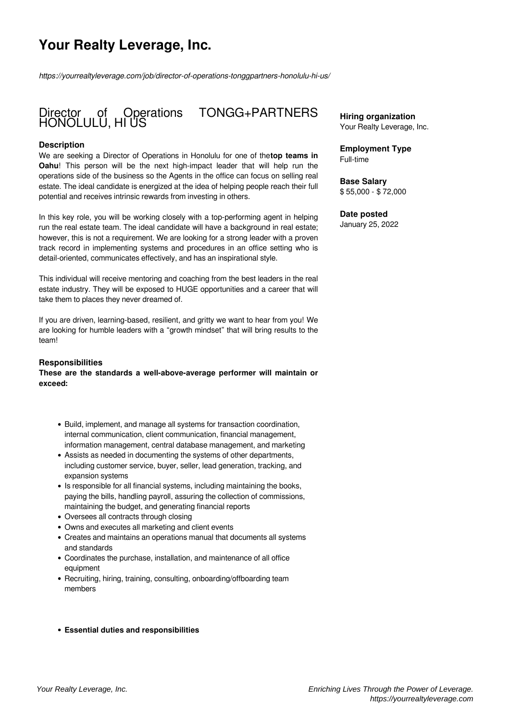# **Your Realty Leverage, Inc.**

*https://yourrealtyleverage.com/job/director-of-operations-tonggpartners-honolulu-hi-us/*

# Director of Operations TONGG+PARTNERS HONOLULU, HI US

#### **Description**

We are seeking a Director of Operations in Honolulu for one of the**top teams in Oahu**! This person will be the next high-impact leader that will help run the operations side of the business so the Agents in the office can focus on selling real estate. The ideal candidate is energized at the idea of helping people reach their full potential and receives intrinsic rewards from investing in others.

In this key role, you will be working closely with a top-performing agent in helping run the real estate team. The ideal candidate will have a background in real estate; however, this is not a requirement. We are looking for a strong leader with a proven track record in implementing systems and procedures in an office setting who is detail-oriented, communicates effectively, and has an inspirational style.

This individual will receive mentoring and coaching from the best leaders in the real estate industry. They will be exposed to HUGE opportunities and a career that will take them to places they never dreamed of.

If you are driven, learning-based, resilient, and gritty we want to hear from you! We are looking for humble leaders with a "growth mindset" that will bring results to the team!

#### **Responsibilities**

**These are the standards a well-above-average performer will maintain or exceed:** 

- Build, implement, and manage all systems for transaction coordination, internal communication, client communication, financial management, information management, central database management, and marketing
- Assists as needed in documenting the systems of other departments, including customer service, buyer, seller, lead generation, tracking, and expansion systems
- Is responsible for all financial systems, including maintaining the books, paying the bills, handling payroll, assuring the collection of commissions, maintaining the budget, and generating financial reports
- Oversees all contracts through closing
- Owns and executes all marketing and client events
- Creates and maintains an operations manual that documents all systems and standards
- Coordinates the purchase, installation, and maintenance of all office equipment
- Recruiting, hiring, training, consulting, onboarding/offboarding team members

#### **Essential duties and responsibilities**

**Hiring organization** Your Realty Leverage, Inc.

**Employment Type** Full-time

**Base Salary** \$ 55,000 - \$ 72,000

### **Date posted**

January 25, 2022